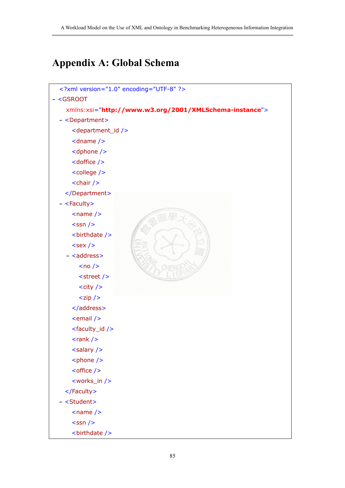# **Appendix A: Global Schema**

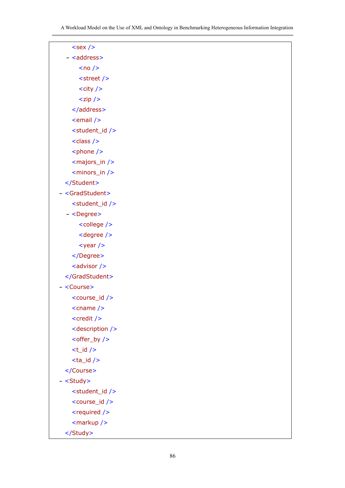| $<$ sex />                    |  |
|-------------------------------|--|
| - <address></address>         |  |
| $<$ no />                     |  |
| <street></street>             |  |
| $<$ city $/>$                 |  |
| $<$ zip />                    |  |
|                               |  |
| <email></email>               |  |
| <student_id></student_id>     |  |
| <class></class>               |  |
| <phone></phone>               |  |
| <majors_in></majors_in>       |  |
| <minors_in></minors_in>       |  |
|                               |  |
| - <gradstudent></gradstudent> |  |
| <student_id></student_id>     |  |
| $-$ <degree></degree>         |  |
| <college></college>           |  |
| <degree></degree>             |  |
| $<$ year />                   |  |
|                               |  |
| <advisor></advisor>           |  |
|                               |  |
| <course></course>             |  |
| <course_id></course_id>       |  |
| $<$ cname $/$                 |  |
| $<$ credit $/$                |  |
| <description></description>   |  |
| <offer_by></offer_by>         |  |
| $< t_id / >$                  |  |
| $<$ ta_id />                  |  |
|                               |  |
| - <study></study>             |  |
| <student_id></student_id>     |  |
| <course_id></course_id>       |  |
| <required></required>         |  |
| <markup></markup>             |  |
|                               |  |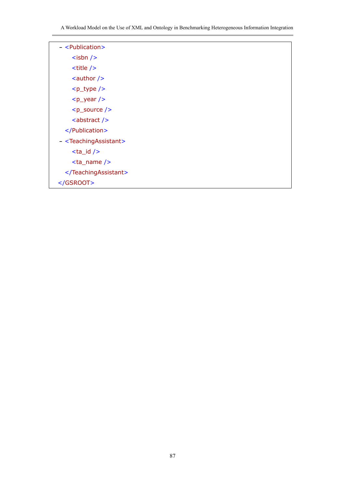A Workload Model on the Use of XML and Ontology in Benchmarking Heterogeneous Information Integration

| - <publication></publication>             |  |
|-------------------------------------------|--|
| $<$ isbn $/$                              |  |
| $<$ title $/$                             |  |
| $\alpha$ <author></author>                |  |
| $-p_type$ />                              |  |
| $-p_{year}$ />                            |  |
| $< p$ _source />                          |  |
| <abstract></abstract>                     |  |
|                                           |  |
| - <teachingassistant></teachingassistant> |  |
| $<$ ta_id $/$                             |  |
| $<$ ta_name />                            |  |
|                                           |  |
|                                           |  |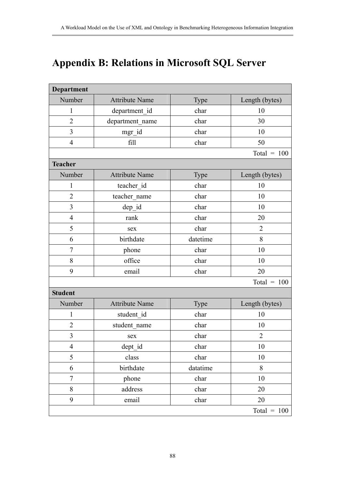# **Appendix B: Relations in Microsoft SQL Server**

| <b>Department</b> |                       |          |                |
|-------------------|-----------------------|----------|----------------|
| Number            | <b>Attribute Name</b> | Type     | Length (bytes) |
| $\mathbf{1}$      | department_id         | char     | 10             |
| $\overline{2}$    | department name       | char     | 30             |
| 3                 | mgr_id                | char     | 10             |
| $\overline{4}$    | fill                  | char     | 50             |
|                   |                       |          | Total = $100$  |
| <b>Teacher</b>    |                       |          |                |
| Number            | <b>Attribute Name</b> | Type     | Length (bytes) |
| 1                 | teacher id            | char     | 10             |
| $\overline{2}$    | teacher name          | char     | 10             |
| 3                 | dep_id                | char     | 10             |
| $\overline{4}$    | rank                  | char     | 20             |
| 5                 | sex                   | char     | $\overline{2}$ |
| 6                 | birthdate             | datetime | 8              |
| $\overline{7}$    | phone                 | char     | 10             |
| 8                 | office                | char     | 10             |
| 9                 | email                 | char     | 20             |
|                   |                       |          | Total = $100$  |
| <b>Student</b>    |                       |          |                |
| Number            | <b>Attribute Name</b> | Type     | Length (bytes) |
| 1                 | student id            | char     | 10             |
| $\overline{2}$    | student name          | char     | 10             |
| 3                 | sex                   | char     | $\overline{2}$ |
| $\overline{4}$    | dept_id               | char     | $10\,$         |
| 5                 | class                 | char     | $10\,$         |
| 6                 | birthdate             | datatime | 8              |
| $\overline{7}$    | phone                 | char     | 10             |
| 8                 | address               | char     | 20             |
| 9                 | email                 | char     | 20             |
|                   |                       |          | Total = $100$  |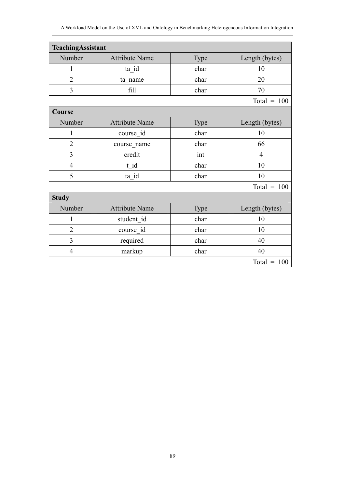#### A Workload Model on the Use of XML and Ontology in Benchmarking Heterogeneous Information Integration

| TeachingAssistant |                       |      |                |
|-------------------|-----------------------|------|----------------|
| Number            | <b>Attribute Name</b> | Type | Length (bytes) |
| 1                 | ta_id                 | char | 10             |
| $\overline{2}$    | ta name               | char | 20             |
| $\overline{3}$    | fill                  | char | 70             |
|                   |                       |      | Total = $100$  |
| Course            |                       |      |                |
| Number            | <b>Attribute Name</b> | Type | Length (bytes) |
| $\mathbf{1}$      | course id             | char | 10             |
| $\overline{2}$    | course name           | char | 66             |
| $\overline{3}$    | credit                | int  | $\overline{4}$ |
| $\overline{4}$    | t id                  | char | 10             |
| 5                 | ta_id                 | char | 10             |
|                   |                       |      | Total = $100$  |
| <b>Study</b>      |                       |      |                |
| Number            | <b>Attribute Name</b> | Type | Length (bytes) |
| $\mathbf{1}$      | student id            | char | 10             |
| $\overline{2}$    | course id             | char | 10             |
| $\overline{3}$    | required              | char | 40             |
| $\overline{4}$    | markup                | char | 40             |
|                   |                       |      | Total = $100$  |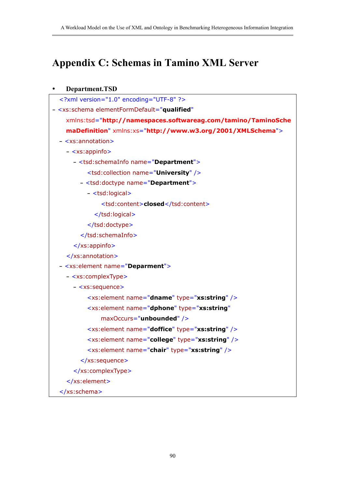# **Appendix C: Schemas in Tamino XML Server**

| Department.TSD                                                      |
|---------------------------------------------------------------------|
| xml version="1.0" encoding="UTF-8" ?                                |
| - <xs:schema <="" elementformdefault="qualified" td=""></xs:schema> |
| xmlns:tsd="http://namespaces.softwareag.com/tamino/TaminoSche       |
| maDefinition" xmlns:xs="http://www.w3.org/2001/XMLSchema">          |
| $-$ <xs:annotation></xs:annotation>                                 |
| - <xs:appinfo></xs:appinfo>                                         |
| - <tsd:schemainfo name="Department"></tsd:schemainfo>               |
| <tsd:collection name="University"></tsd:collection>                 |
| - <tsd:doctype name="Department"></tsd:doctype>                     |
| - <tsd:logical></tsd:logical>                                       |
| <tsd:content>closed</tsd:content>                                   |
|                                                                     |
|                                                                     |
|                                                                     |
| $\langle x \rangle$ s:appinfo $\langle x \rangle$                   |
|                                                                     |
| - <xs: element="" name="Deparment"></xs:>                           |
| - <xs:complextype></xs:complextype>                                 |
| - <xs:sequence></xs:sequence>                                       |
| <xs:element name="dname" type="xs:string"></xs:element>             |
| <xs:element <="" name="dphone" td="" type="xs:string"></xs:element> |
| maxOccurs="unbounded" />                                            |
| <xs:element name="doffice" type="xs:string"></xs:element>           |
| <xs:element name="college" type="xs:string"></xs:element>           |
| <xs:element name="chair" type="xs:string"></xs:element>             |
|                                                                     |
|                                                                     |
|                                                                     |
|                                                                     |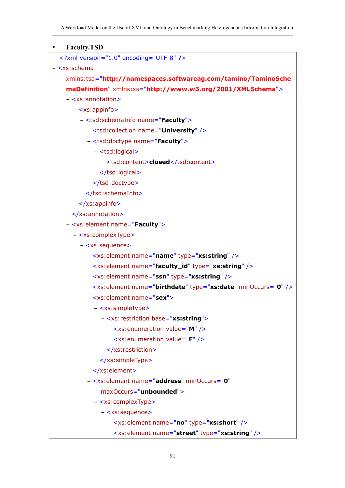| <b>Faculty.TSD</b>                                                      |
|-------------------------------------------------------------------------|
| xml version="1.0" encoding="UTF-8" ?                                    |
| $- s:schema$                                                            |
| xmlns:tsd="http://namespaces.softwareag.com/tamino/TaminoSche           |
| maDefinition" xmlns:xs="http://www.w3.org/2001/XMLSchema">              |
| $-$ <xs:annotation></xs:annotation>                                     |
| - <xs:appinfo></xs:appinfo>                                             |
| - <tsd:schemainfo name="Faculty"></tsd:schemainfo>                      |
| <tsd:collection name="University"></tsd:collection>                     |
| - <tsd:doctype name="Faculty"></tsd:doctype>                            |
| - <tsd:logical></tsd:logical>                                           |
| <tsd:content>closed</tsd:content>                                       |
|                                                                         |
|                                                                         |
|                                                                         |
| $\langle x \rangle$ s: appinfo $\langle x \rangle$                      |
|                                                                         |
| - <xs: element="" name="Faculty"></xs:>                                 |
| - <xs:complextype></xs:complextype>                                     |
| - <xs:sequence></xs:sequence>                                           |
| <xs:element name="name" type="xs:string"></xs:element>                  |
| <xs:element name="faculty_id" type="xs:string"></xs:element>            |
| <xs:element name="ssn" type="xs:string"></xs:element>                   |
| <xs:element minoccurs="0" name="birthdate" type="xs:date"></xs:element> |
| - <xs:element name="sex"></xs:element>                                  |
| - <xs:simpletype></xs:simpletype>                                       |
| - <xs:restriction base="xs:string"></xs:restriction>                    |
| <xs:enumeration value="M"></xs:enumeration>                             |
| <xs:enumeration value="F"></xs:enumeration>                             |
|                                                                         |
|                                                                         |
|                                                                         |
| - <xs: <="" element="" minoccurs="0" name="address" th=""></xs:>        |
| maxOccurs="unbounded">                                                  |
| - <xs:complextype></xs:complextype>                                     |
| - <xs:sequence></xs:sequence>                                           |
| <xs:element name="no" type="xs:short"></xs:element>                     |
| <xs:element name="street" type="xs:string"></xs:element>                |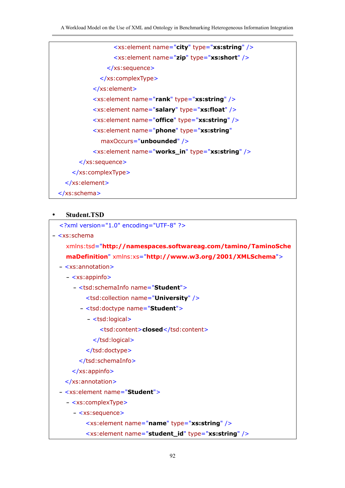```
<xs:element name="city" type="xs:string" /> 
                 <xs:element name="zip" type="xs:short" /> 
               </xs:sequence>
            </xs:complexType>
          </xs:element>
          <xs:element name="rank" type="xs:string" /> 
          <xs:element name="salary" type="xs:float" /> 
          <xs:element name="office" type="xs:string" /> 
          <xs:element name="phone" type="xs:string"
             maxOccurs="unbounded" /> 
          <xs:element name="works_in" type="xs:string" /> 
      </xs:sequence>
    </xs:complexType>
  </xs:element>
</xs:schema>
```
### y **Student.TSD**

```
<?xml version="1.0" encoding="UTF-8" ?> 
- <xs:schema
    xmlns:tsd="http://namespaces.softwareag.com/tamino/TaminoSche
    maDefinition" xmlns:xs="http://www.w3.org/2001/XMLSchema">
 - <xs:annotation>
    - <xs:appinfo>
      - <tsd:schemaInfo name="Student">
          <tsd:collection name="University" /> 
        - <tsd:doctype name="Student">
          - <tsd:logical>
              <tsd:content>closed</tsd:content> 
            </tsd:logical>
          </tsd:doctype>
        </tsd:schemaInfo>
     </xs:appinfo>
   </xs:annotation>
 - <xs:element name="Student">
    - <xs:complexType>
      - <xs:sequence>
          <xs:element name="name" type="xs:string" /> 
         <xs:element name="student_id" type="xs:string" />
```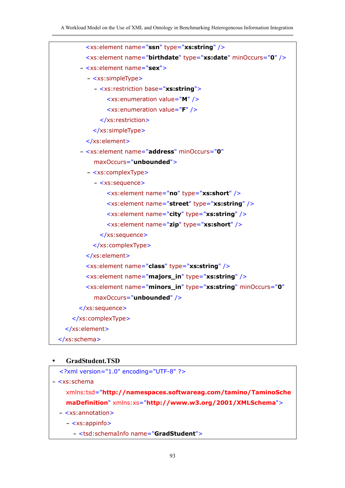

#### y **GradStudent.TSD**

```
<?xml version="1.0" encoding="UTF-8" ?> 
- <xs:schema
   xmlns:tsd="http://namespaces.softwareag.com/tamino/TaminoSche
   maDefinition" xmlns:xs="http://www.w3.org/2001/XMLSchema">
 - <xs:annotation>
```
**-** <xs:appinfo>

**-** <tsd:schemaInfo name="**GradStudent**">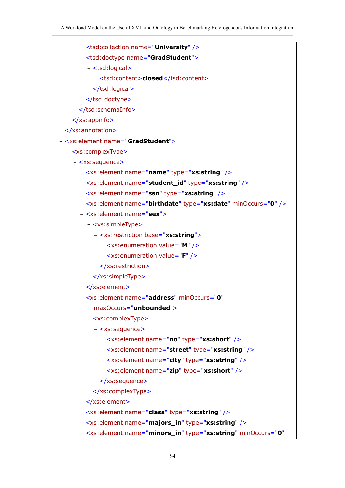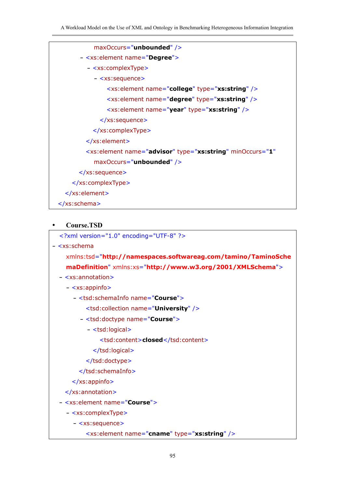| maxOccurs="unbounded" />                                                           |
|------------------------------------------------------------------------------------|
| - <xs: element="" name="Degree"></xs:>                                             |
| - <xs:complextype></xs:complextype>                                                |
| - <xs:sequence></xs:sequence>                                                      |
| <xs:element name="college" type="xs:string"></xs:element>                          |
| <xs:element name="degree" type="xs:string"></xs:element>                           |
| <xs:element name="year" type="xs:string"></xs:element>                             |
| $\langle x \rangle$ s:sequence>                                                    |
|                                                                                    |
|                                                                                    |
| <xs:element <="" minoccurs="1" name="advisor" th="" type="xs:string"></xs:element> |
| maxOccurs="unbounded" />                                                           |
| $\langle x \rangle$ s:sequence>                                                    |
|                                                                                    |
|                                                                                    |
|                                                                                    |

### y **Course.TSD**

```
<?xml version="1.0" encoding="UTF-8" ?> 
- <xs:schema
```

```
xmlns:tsd="http://namespaces.softwareag.com/tamino/TaminoSche
maDefinition" xmlns:xs="http://www.w3.org/2001/XMLSchema">
```
#### **-** <xs:annotation>

**-** <xs:appinfo>

- **-** <tsd:schemaInfo name="**Course**">
	- <tsd:collection name="**University**" />
	- **-** <tsd:doctype name="**Course**">
		- **-** <tsd:logical>
			- <tsd:content>**closed**</tsd:content>
			- </tsd:logical>
		- </tsd:doctype>
	- </tsd:schemaInfo>
- </xs:appinfo>
- </xs:annotation>
- **-** <xs:element name="**Course**">
	- **-** <xs:complexType>
		- **-** <xs:sequence>
			- <xs:element name="**cname**" type="**xs:string**" />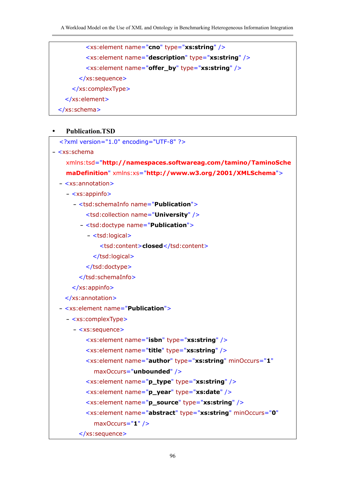<xs:element name="**cno**" type="**xs:string**" /> <xs:element name="**description**" type="**xs:string**" /> <xs:element name="**offer\_by**" type="**xs:string**" /> </xs:sequence> </xs:complexType> </xs:element> </xs:schema>

## y **Publication.TSD**

| xml version="1.0" encoding="UTF-8" ?                                                |
|-------------------------------------------------------------------------------------|
| - <xs:schema< td=""></xs:schema<>                                                   |
| xmlns:tsd="http://namespaces.softwareag.com/tamino/TaminoSche                       |
| maDefinition" xmlns:xs="http://www.w3.org/2001/XMLSchema">                          |
| - <xs:annotation></xs:annotation>                                                   |
| - <xs:appinfo></xs:appinfo>                                                         |
| - <tsd:schemainfo name="&lt;b&gt;Publication&lt;/b&gt;"></tsd:schemainfo>           |
| <tsd:collection name="University"></tsd:collection>                                 |
| - <tsd:doctype name="Publication"></tsd:doctype>                                    |
| - <tsd:logical></tsd:logical>                                                       |
| <tsd:content>closed</tsd:content>                                                   |
|                                                                                     |
|                                                                                     |
|                                                                                     |
| $\langle x \rangle$ xs: appinfo $\langle x \rangle$                                 |
|                                                                                     |
| - <xs:element name="Publication"></xs:element>                                      |
| - <xs:complextype></xs:complextype>                                                 |
| - <xs:sequence></xs:sequence>                                                       |
| <xs:element name="isbn" type="xs:string"></xs:element>                              |
| <xs:element name="title" type="xs:string"></xs:element>                             |
| <xs:element <="" minoccurs="1" name="author" td="" type="xs:string"></xs:element>   |
| maxOccurs="unbounded" />                                                            |
| <xs:element name="p_type" type="xs:string"></xs:element>                            |
| <xs:element name="p_year" type="xs:date"></xs:element>                              |
| <xs:element name="p_source" type="xs:string"></xs:element>                          |
| <xs:element <="" minoccurs="0" name="abstract" td="" type="xs:string"></xs:element> |
| $maxOccurs="1"$ />                                                                  |
|                                                                                     |